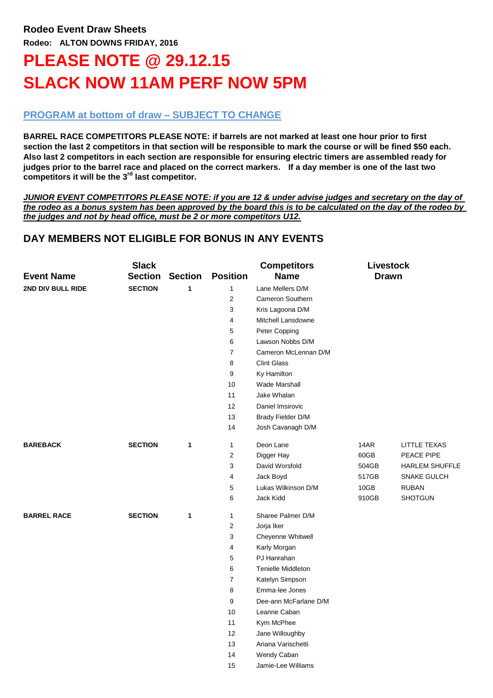# **PLEASE NOTE @ 29.12.15 SLACK NOW 11AM PERF NOW 5PM**

## **PROGRAM at bottom of draw – SUBJECT TO CHANGE**

**BARREL RACE COMPETITORS PLEASE NOTE: if barrels are not marked at least one hour prior to first section the last 2 competitors in that section will be responsible to mark the course or will be fined \$50 each. Also last 2 competitors in each section are responsible for ensuring electric timers are assembled ready for judges prior to the barrel race and placed on the correct markers. If a day member is one of the last two competitors it will be the 3rd last competitor.**

*JUNIOR EVENT COMPETITORS PLEASE NOTE: if you are 12 & under advise judges and secretary on the day of the rodeo as a bonus system has been approved by the board this is to be calculated on the day of the rodeo by the judges and not by head office, must be 2 or more competitors U12.*

# **DAY MEMBERS NOT ELIGIBLE FOR BONUS IN ANY EVENTS**

| <b>Event Name</b>  | <b>Slack</b><br><b>Section</b> | <b>Section</b> | <b>Position</b>  | <b>Competitors</b><br><b>Name</b> | <b>Livestock</b><br><b>Drawn</b> |                       |
|--------------------|--------------------------------|----------------|------------------|-----------------------------------|----------------------------------|-----------------------|
| 2ND DIV BULL RIDE  | <b>SECTION</b>                 | $\mathbf{1}$   | $\mathbf{1}$     | Lane Mellers D/M                  |                                  |                       |
|                    |                                |                | 2                | Cameron Southern                  |                                  |                       |
|                    |                                |                | 3                | Kris Lagoona D/M                  |                                  |                       |
|                    |                                |                | 4                | Mitchell Lansdowne                |                                  |                       |
|                    |                                |                | 5                | Peter Copping                     |                                  |                       |
|                    |                                |                | 6                | Lawson Nobbs D/M                  |                                  |                       |
|                    |                                |                | $\overline{7}$   | Cameron McLennan D/M              |                                  |                       |
|                    |                                |                | 8                | <b>Clint Glass</b>                |                                  |                       |
|                    |                                |                | 9                | Ky Hamilton                       |                                  |                       |
|                    |                                |                | 10               | Wade Marshall                     |                                  |                       |
|                    |                                |                | 11               | Jake Whalan                       |                                  |                       |
|                    |                                |                | 12               | Daniel Imsirovic                  |                                  |                       |
|                    |                                |                | 13               | Brady Fielder D/M                 |                                  |                       |
|                    |                                |                | 14               | Josh Cavanagh D/M                 |                                  |                       |
| <b>BAREBACK</b>    | <b>SECTION</b>                 | 1              | $\mathbf{1}$     | Deon Lane                         | 14AR                             | <b>LITTLE TEXAS</b>   |
|                    |                                |                | 2                | Digger Hay                        | 60GB                             | PEACE PIPE            |
|                    |                                |                | 3                | David Worsfold                    | 504GB                            | <b>HARLEM SHUFFLE</b> |
|                    |                                |                | 4                | Jack Boyd                         | 517GB                            | <b>SNAKE GULCH</b>    |
|                    |                                |                | 5                | Lukas Wilkinson D/M               | 10GB                             | <b>RUBAN</b>          |
|                    |                                |                | 6                | Jack Kidd                         | 910GB                            | <b>SHOTGUN</b>        |
| <b>BARREL RACE</b> | <b>SECTION</b>                 | 1              | $\mathbf{1}$     | Sharee Palmer D/M                 |                                  |                       |
|                    |                                |                | $\overline{2}$   | Jorja Iker                        |                                  |                       |
|                    |                                |                | 3                | Cheyenne Whitwell                 |                                  |                       |
|                    |                                |                | 4                | Karly Morgan                      |                                  |                       |
|                    |                                |                | $\mathbf 5$      | PJ Hanrahan                       |                                  |                       |
|                    |                                |                | 6                | <b>Tenielle Middleton</b>         |                                  |                       |
|                    |                                |                | $\boldsymbol{7}$ | Katelyn Simpson                   |                                  |                       |
|                    |                                |                | 8                | Emma-lee Jones                    |                                  |                       |
|                    |                                |                | 9                | Dee-ann McFarlane D/M             |                                  |                       |
|                    |                                |                | 10               | Leanne Caban                      |                                  |                       |
|                    |                                |                | 11               | Kym McPhee                        |                                  |                       |
|                    |                                |                | 12               | Jane Willoughby                   |                                  |                       |
|                    |                                |                | 13               | Ariana Varischetti                |                                  |                       |
|                    |                                |                | 14               | Wendy Caban                       |                                  |                       |
|                    |                                |                | 15               | Jamie-Lee Williams                |                                  |                       |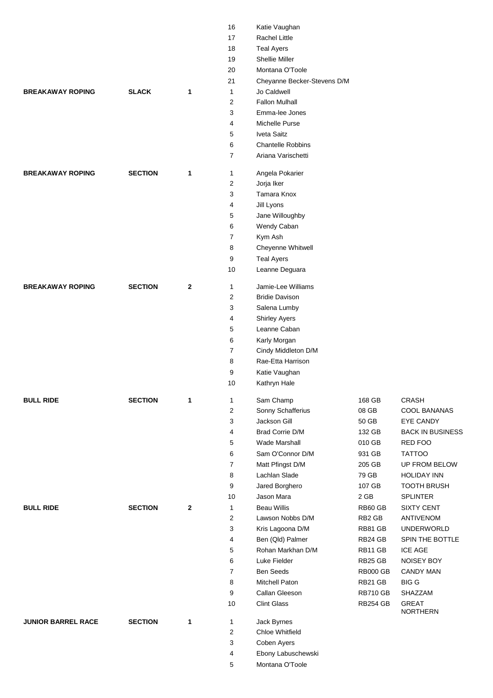|                           |                |              | 16             | Katie Vaughan               |                 |                          |
|---------------------------|----------------|--------------|----------------|-----------------------------|-----------------|--------------------------|
|                           |                |              | 17             | <b>Rachel Little</b>        |                 |                          |
|                           |                |              | 18             | <b>Teal Ayers</b>           |                 |                          |
|                           |                |              | 19             | <b>Shellie Miller</b>       |                 |                          |
|                           |                |              | 20             | Montana O'Toole             |                 |                          |
|                           |                |              | 21             | Cheyanne Becker-Stevens D/M |                 |                          |
| <b>BREAKAWAY ROPING</b>   | <b>SLACK</b>   | 1            | 1              | Jo Caldwell                 |                 |                          |
|                           |                |              | 2              | <b>Fallon Mulhall</b>       |                 |                          |
|                           |                |              | 3              | Emma-lee Jones              |                 |                          |
|                           |                |              | 4              | Michelle Purse              |                 |                          |
|                           |                |              | 5              | Iveta Saitz                 |                 |                          |
|                           |                |              | 6              | <b>Chantelle Robbins</b>    |                 |                          |
|                           |                |              | $\overline{7}$ | Ariana Varischetti          |                 |                          |
| <b>BREAKAWAY ROPING</b>   | <b>SECTION</b> | 1            | 1              | Angela Pokarier             |                 |                          |
|                           |                |              | $\overline{2}$ | Jorja Iker                  |                 |                          |
|                           |                |              | 3              | Tamara Knox                 |                 |                          |
|                           |                |              | 4              | Jill Lyons                  |                 |                          |
|                           |                |              | 5              | Jane Willoughby             |                 |                          |
|                           |                |              | 6              | Wendy Caban                 |                 |                          |
|                           |                |              | $\overline{7}$ | Kym Ash                     |                 |                          |
|                           |                |              | 8              | Cheyenne Whitwell           |                 |                          |
|                           |                |              | 9              | <b>Teal Ayers</b>           |                 |                          |
|                           |                |              | 10             | Leanne Deguara              |                 |                          |
| <b>BREAKAWAY ROPING</b>   | <b>SECTION</b> | $\mathbf{2}$ | 1              | Jamie-Lee Williams          |                 |                          |
|                           |                |              | $\overline{2}$ | <b>Bridie Davison</b>       |                 |                          |
|                           |                |              | 3              | Salena Lumby                |                 |                          |
|                           |                |              | 4              | <b>Shirley Ayers</b>        |                 |                          |
|                           |                |              | 5              | Leanne Caban                |                 |                          |
|                           |                |              | 6              | Karly Morgan                |                 |                          |
|                           |                |              | $\overline{7}$ | Cindy Middleton D/M         |                 |                          |
|                           |                |              | 8              | Rae-Etta Harrison           |                 |                          |
|                           |                |              | 9              | Katie Vaughan               |                 |                          |
|                           |                |              | 10             | Kathryn Hale                |                 |                          |
| <b>BULL RIDE</b>          | <b>SECTION</b> | 1            | 1              | Sam Champ                   | 168 GB          | <b>CRASH</b>             |
|                           |                |              | $\overline{2}$ | Sonny Schafferius           | 08 GB           | COOL BANANAS             |
|                           |                |              | 3              | Jackson Gill                | 50 GB           | EYE CANDY                |
|                           |                |              | 4              | <b>Brad Corrie D/M</b>      | 132 GB          | <b>BACK IN BUSINESS</b>  |
|                           |                |              | 5              | Wade Marshall               | 010 GB          | RED FOO                  |
|                           |                |              | 6              | Sam O'Connor D/M            | 931 GB          | <b>TATTOO</b>            |
|                           |                |              | $\overline{7}$ | Matt Pfingst D/M            | 205 GB          | UP FROM BELOW            |
|                           |                |              | 8              | Lachlan Slade               | 79 GB           | <b>HOLIDAY INN</b>       |
|                           |                |              | 9              | Jared Borghero              | 107 GB          | <b>TOOTH BRUSH</b>       |
|                           |                |              | 10             | Jason Mara                  | 2 GB            | <b>SPLINTER</b>          |
| <b>BULL RIDE</b>          | <b>SECTION</b> | $\mathbf{2}$ | 1              | <b>Beau Willis</b>          | RB60 GB         | <b>SIXTY CENT</b>        |
|                           |                |              | $\overline{2}$ | Lawson Nobbs D/M            | RB2 GB          | <b>ANTIVENOM</b>         |
|                           |                |              | 3              | Kris Lagoona D/M            | RB81 GB         | <b>UNDERWORLD</b>        |
|                           |                |              | 4              | Ben (Qld) Palmer            | RB24 GB         | SPIN THE BOTTLE          |
|                           |                |              | 5              | Rohan Markhan D/M           | RB11 GB         | <b>ICE AGE</b>           |
|                           |                |              | 6              | Luke Fielder                | RB25 GB         | NOISEY BOY               |
|                           |                |              | $\overline{7}$ | Ben Seeds                   | <b>RB000 GB</b> | <b>CANDY MAN</b>         |
|                           |                |              | 8              | Mitchell Paton              | RB21 GB         | <b>BIG G</b>             |
|                           |                |              | 9              | Callan Gleeson              | <b>RB710 GB</b> | SHAZZAM                  |
|                           |                |              | 10             | <b>Clint Glass</b>          | <b>RB254 GB</b> | <b>GREAT</b><br>NORTHERN |
| <b>JUNIOR BARREL RACE</b> | <b>SECTION</b> | 1            | 1              | Jack Byrnes                 |                 |                          |
|                           |                |              | $\overline{2}$ | Chloe Whitfield             |                 |                          |
|                           |                |              | 3              | Coben Ayers                 |                 |                          |
|                           |                |              | 4              | Ebony Labuschewski          |                 |                          |
|                           |                |              | 5              | Montana O'Toole             |                 |                          |
|                           |                |              |                |                             |                 |                          |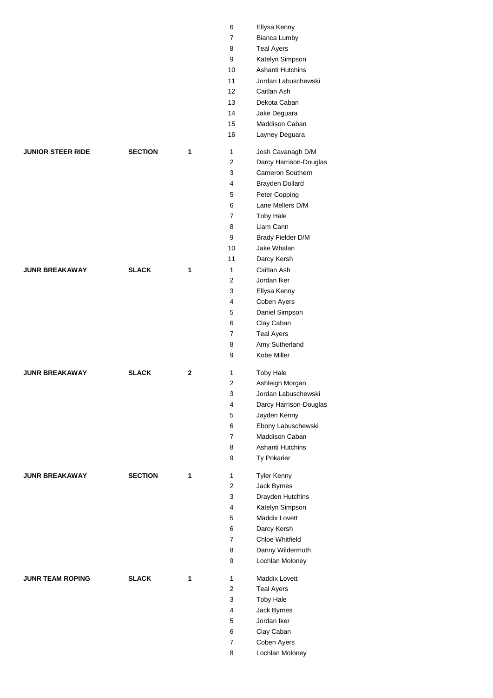|                          |                |             | 8              | <b>Teal Ayers</b>   |
|--------------------------|----------------|-------------|----------------|---------------------|
|                          |                |             | 9              | Katelyn Simpson     |
|                          |                |             | 10             | Ashanti Hutchins    |
|                          |                |             | 11             | Jordan Labuschews   |
|                          |                |             | 12             | Caitlan Ash         |
|                          |                |             | 13             | Dekota Caban        |
|                          |                |             | 14             | Jake Deguara        |
|                          |                |             | 15             | Maddison Caban      |
|                          |                |             | 16             | Layney Deguara      |
| <b>JUNIOR STEER RIDE</b> | <b>SECTION</b> | 1           | 1              | Josh Cavanagh D/M   |
|                          |                |             | $\overline{2}$ | Darcy Harrison-Doug |
|                          |                |             | 3              | Cameron Southern    |
|                          |                |             | 4              | Brayden Dollard     |
|                          |                |             | 5              | Peter Copping       |
|                          |                |             | 6              | Lane Mellers D/M    |
|                          |                |             | $\overline{7}$ | <b>Toby Hale</b>    |
|                          |                |             | 8              | Liam Cann           |
|                          |                |             | 9              | Brady Fielder D/M   |
|                          |                |             | 10             | Jake Whalan         |
|                          |                |             | 11             | Darcy Kersh         |
| <b>JUNR BREAKAWAY</b>    | <b>SLACK</b>   | 1           | 1              | Caitlan Ash         |
|                          |                |             | 2              | Jordan Iker         |
|                          |                |             | 3              | Ellysa Kenny        |
|                          |                |             | 4              | Coben Ayers         |
|                          |                |             | 5              | Daniel Simpson      |
|                          |                |             | 6              | Clay Caban          |
|                          |                |             | $\overline{7}$ | <b>Teal Ayers</b>   |
|                          |                |             | 8              | Amy Sutherland      |
|                          |                |             | 9              | Kobe Miller         |
| <b>JUNR BREAKAWAY</b>    | <b>SLACK</b>   | $\mathbf 2$ | 1              | <b>Toby Hale</b>    |
|                          |                |             | 2              | Ashleigh Morgan     |
|                          |                |             | 3              | Jordan Labuschews   |
|                          |                |             | 4              | Darcy Harrison-Doug |
|                          |                |             | 5              | Jayden Kenny        |
|                          |                |             | 6              | Ebony Labuschewsk   |
|                          |                |             | $\overline{7}$ | Maddison Caban      |
|                          |                |             | 8              | Ashanti Hutchins    |
|                          |                |             | 9              | Ty Pokarier         |
| <b>JUNR BREAKAWAY</b>    | <b>SECTION</b> | 1           | 1              | <b>Tyler Kenny</b>  |
|                          |                |             | $\mathbf{2}$   | Jack Byrnes         |
|                          |                |             | 3              | Drayden Hutchins    |
|                          |                |             | 4              | Katelyn Simpson     |
|                          |                |             | 5              | Maddix Lovett       |
|                          |                |             | 6              | Darcy Kersh         |
|                          |                |             | $\overline{7}$ | Chloe Whitfield     |
|                          |                |             | 8              | Danny Wildermuth    |
|                          |                |             | 9              | Lochlan Moloney     |
| <b>JUNR TEAM ROPING</b>  | <b>SLACK</b>   | 1           | 1              | Maddix Lovett       |
|                          |                |             | $\overline{2}$ | <b>Teal Ayers</b>   |
|                          |                |             | 3              | <b>Toby Hale</b>    |
|                          |                |             | 4              | Jack Byrnes         |
|                          |                |             | 5              | Jordan Iker         |
|                          |                |             | 6              | Clay Caban          |
|                          |                |             | 7              | Coben Ayers         |
|                          |                |             | 8              | Lochlan Moloney     |
|                          |                |             |                |                     |

| 6                   | Ellysa Kenny                   |
|---------------------|--------------------------------|
| 7                   | <b>Bianca Lumby</b>            |
| 8                   | <b>Teal Ayers</b>              |
| 9                   | Katelyn Simpson                |
| 10                  | Ashanti Hutchins               |
| 11                  | Jordan Labuschewski            |
| 12                  | Caitlan Ash                    |
| 13                  | Dekota Caban                   |
| 14                  |                                |
|                     | Jake Deguara                   |
| 15                  | Maddison Caban                 |
| 16                  | Layney Deguara                 |
| 1                   | Josh Cavanagh D/M              |
| 2                   | Darcy Harrison-Douglas         |
| 3                   | <b>Cameron Southern</b>        |
| $\overline{4}$      | <b>Brayden Dollard</b>         |
| 5                   | Peter Copping                  |
| 6                   | Lane Mellers D/M               |
| 7                   | <b>Toby Hale</b>               |
| 8                   | Liam Cann                      |
| 9                   | Brady Fielder D/M              |
| 10                  | Jake Whalan                    |
|                     |                                |
| 11                  | Darcy Kersh                    |
| 1                   | Caitlan Ash                    |
| 2                   | Jordan Iker                    |
| 3                   | Ellysa Kenny                   |
| 4                   | Coben Ayers                    |
| 5                   | Daniel Simpson                 |
| 6                   | Clay Caban                     |
| 7                   | <b>Teal Ayers</b>              |
| 8                   | Amy Sutherland                 |
|                     |                                |
| 9                   | Kobe Miller                    |
|                     |                                |
| 1                   | <b>Toby Hale</b>               |
| 2                   | Ashleigh Morgan                |
| 3                   | Jordan Labuschewski            |
| 4                   | Darcy Harrison-Douglas         |
| 5                   | Jayden Kenny                   |
| 6                   | Ebony Labuschewski             |
| 7                   | Maddison Caban                 |
| 8                   | Ashanti Hutchins               |
| 9                   | <b>Ty Pokarier</b>             |
|                     |                                |
| 1                   | <b>Tyler Kenny</b>             |
| $\overline{2}$      | <b>Jack Byrnes</b>             |
| 3                   | Drayden Hutchins               |
| 4                   | Katelyn Simpson                |
| 5                   | <b>Maddix Lovett</b>           |
| 6                   | Darcy Kersh                    |
| 7                   | <b>Chloe Whitfield</b>         |
| 8                   | Danny Wildermuth               |
| 9                   | Lochlan Moloney                |
| 1                   | <b>Maddix Lovett</b>           |
| 2                   | Teal Ayers                     |
| 3                   | <b>Toby Hale</b>               |
| 4                   |                                |
|                     | Jack Byrnes                    |
| 5                   | Jordan Iker                    |
| 6                   | Clay Caban                     |
| $\overline{7}$<br>8 | Coben Ayers<br>Lochlan Moloney |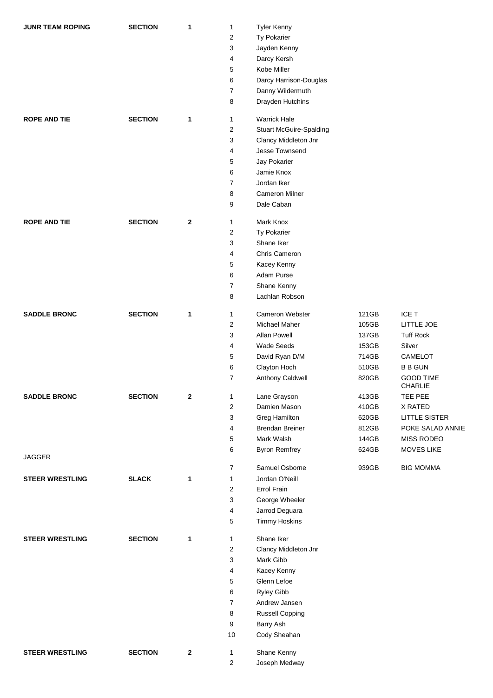| <b>JUNR TEAM ROPING</b> | <b>SECTION</b> | 1            | $\mathbf{1}$            | <b>Tyler Kenny</b>             |       |                                    |
|-------------------------|----------------|--------------|-------------------------|--------------------------------|-------|------------------------------------|
|                         |                |              | 2                       | Ty Pokarier                    |       |                                    |
|                         |                |              | 3                       | Jayden Kenny                   |       |                                    |
|                         |                |              | 4                       | Darcy Kersh                    |       |                                    |
|                         |                |              | 5                       | Kobe Miller                    |       |                                    |
|                         |                |              | 6                       | Darcy Harrison-Douglas         |       |                                    |
|                         |                |              | 7                       | Danny Wildermuth               |       |                                    |
|                         |                |              | 8                       | Drayden Hutchins               |       |                                    |
| <b>ROPE AND TIE</b>     | <b>SECTION</b> | 1            | 1                       | <b>Warrick Hale</b>            |       |                                    |
|                         |                |              | 2                       | <b>Stuart McGuire-Spalding</b> |       |                                    |
|                         |                |              | 3                       | Clancy Middleton Jnr           |       |                                    |
|                         |                |              | 4                       | Jesse Townsend                 |       |                                    |
|                         |                |              | 5                       | Jay Pokarier                   |       |                                    |
|                         |                |              | 6                       | Jamie Knox                     |       |                                    |
|                         |                |              | 7                       | Jordan Iker                    |       |                                    |
|                         |                |              | 8                       | <b>Cameron Milner</b>          |       |                                    |
|                         |                |              | 9                       | Dale Caban                     |       |                                    |
| <b>ROPE AND TIE</b>     | <b>SECTION</b> | $\mathbf{2}$ | $\mathbf{1}$            | Mark Knox                      |       |                                    |
|                         |                |              | 2                       | Ty Pokarier                    |       |                                    |
|                         |                |              | 3                       | Shane Iker                     |       |                                    |
|                         |                |              | 4                       | Chris Cameron                  |       |                                    |
|                         |                |              | 5                       | Kacey Kenny                    |       |                                    |
|                         |                |              | 6                       | Adam Purse                     |       |                                    |
|                         |                |              | 7                       | Shane Kenny                    |       |                                    |
|                         |                |              | 8                       | Lachlan Robson                 |       |                                    |
| <b>SADDLE BRONC</b>     | <b>SECTION</b> | 1            | $\mathbf{1}$            | Cameron Webster                | 121GB | ICE T                              |
|                         |                |              | 2                       | Michael Maher                  | 105GB | LITTLE JOE                         |
|                         |                |              | 3                       | Allan Powell                   | 137GB | <b>Tuff Rock</b>                   |
|                         |                |              | 4                       | Wade Seeds                     | 153GB | Silver                             |
|                         |                |              | 5                       | David Ryan D/M                 | 714GB | CAMELOT                            |
|                         |                |              | 6                       | Clayton Hoch                   | 510GB | <b>B B GUN</b>                     |
|                         |                |              | $\overline{7}$          | Anthony Caldwell               | 820GB | <b>GOOD TIME</b><br><b>CHARLIE</b> |
| <b>SADDLE BRONC</b>     | <b>SECTION</b> | $\mathbf{z}$ | 1                       | Lane Grayson                   | 413GB | TEE PEE                            |
|                         |                |              | $\overline{2}$          | Damien Mason                   | 410GB | X RATED                            |
|                         |                |              | 3                       | Greg Hamilton                  | 620GB | <b>LITTLE SISTER</b>               |
|                         |                |              | 4                       | <b>Brendan Breiner</b>         | 812GB | POKE SALAD ANNIE                   |
|                         |                |              | 5                       | Mark Walsh                     | 144GB | MISS RODEO                         |
| <b>JAGGER</b>           |                |              | 6                       | <b>Byron Remfrey</b>           | 624GB | <b>MOVES LIKE</b>                  |
|                         |                |              | $\overline{7}$          | Samuel Osborne                 | 939GB | <b>BIG MOMMA</b>                   |
| <b>STEER WRESTLING</b>  | <b>SLACK</b>   | $\mathbf 1$  | $\mathbf{1}$            | Jordan O'Neill                 |       |                                    |
|                         |                |              | $\overline{2}$          | Errol Frain                    |       |                                    |
|                         |                |              | 3                       | George Wheeler                 |       |                                    |
|                         |                |              | 4                       | Jarrod Deguara                 |       |                                    |
|                         |                |              | 5                       | <b>Timmy Hoskins</b>           |       |                                    |
| <b>STEER WRESTLING</b>  | <b>SECTION</b> | 1            | 1                       | Shane Iker                     |       |                                    |
|                         |                |              | $\overline{\mathbf{c}}$ | Clancy Middleton Jnr           |       |                                    |
|                         |                |              | 3                       | Mark Gibb                      |       |                                    |
|                         |                |              | 4                       | Kacey Kenny                    |       |                                    |
|                         |                |              | 5                       | Glenn Lefoe                    |       |                                    |
|                         |                |              | 6                       | Ryley Gibb                     |       |                                    |
|                         |                |              | $\overline{7}$          | Andrew Jansen                  |       |                                    |
|                         |                |              | 8                       | <b>Russell Copping</b>         |       |                                    |
|                         |                |              | 9                       | Barry Ash                      |       |                                    |
|                         |                |              | 10                      | Cody Sheahan                   |       |                                    |
| <b>STEER WRESTLING</b>  | <b>SECTION</b> | $\bf{2}$     | 1                       | Shane Kenny                    |       |                                    |
|                         |                |              | 2                       | Joseph Medway                  |       |                                    |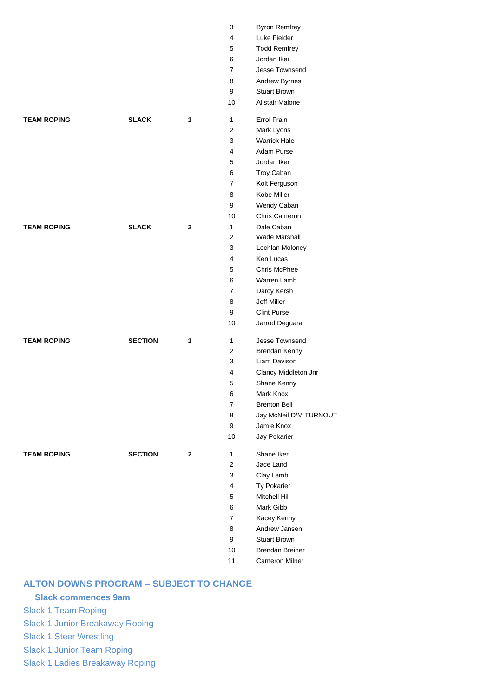|                    |                |              | 3              | <b>Byron Remfrey</b>   |
|--------------------|----------------|--------------|----------------|------------------------|
|                    |                |              | 4              | Luke Fielder           |
|                    |                |              | 5              | <b>Todd Remfrey</b>    |
|                    |                |              | 6              | Jordan Iker            |
|                    |                |              | $\overline{7}$ | Jesse Townsend         |
|                    |                |              | 8              | Andrew Byrnes          |
|                    |                |              | 9              | <b>Stuart Brown</b>    |
|                    |                |              | 10             | Alistair Malone        |
| <b>TEAM ROPING</b> | <b>SLACK</b>   | 1            | $\mathbf{1}$   | Errol Frain            |
|                    |                |              | $\overline{2}$ | Mark Lyons             |
|                    |                |              | 3              | <b>Warrick Hale</b>    |
|                    |                |              | 4              | Adam Purse             |
|                    |                |              | 5              | Jordan Iker            |
|                    |                |              | 6              | Troy Caban             |
|                    |                |              | $\overline{7}$ | Kolt Ferguson          |
|                    |                |              | 8              | Kobe Miller            |
|                    |                |              | 9              | Wendy Caban            |
|                    |                |              | 10             | Chris Cameron          |
| <b>TEAM ROPING</b> | <b>SLACK</b>   | $\mathbf{2}$ | $\mathbf{1}$   | Dale Caban             |
|                    |                |              | $\overline{2}$ | Wade Marshall          |
|                    |                |              | 3              | Lochlan Moloney        |
|                    |                |              | 4              | Ken Lucas              |
|                    |                |              | 5              | Chris McPhee           |
|                    |                |              | 6              | Warren Lamb            |
|                    |                |              | $\overline{7}$ | Darcy Kersh            |
|                    |                |              | 8              | Jeff Miller            |
|                    |                |              | 9              | <b>Clint Purse</b>     |
|                    |                |              | 10             | Jarrod Deguara         |
| <b>TEAM ROPING</b> | <b>SECTION</b> | 1            | $\mathbf{1}$   | Jesse Townsend         |
|                    |                |              | 2              | Brendan Kenny          |
|                    |                |              | 3              | Liam Davison           |
|                    |                |              | 4              | Clancy Middleton Jnr   |
|                    |                |              | 5              | Shane Kenny            |
|                    |                |              | 6              | Mark Knox              |
|                    |                |              | $\overline{7}$ | <b>Brenton Bell</b>    |
|                    |                |              | 8              | Jay McNeil D/M-TURNOUT |
|                    |                |              | 9              | Jamie Knox             |
|                    |                |              | 10             | Jay Pokarier           |
| <b>TEAM ROPING</b> | <b>SECTION</b> | 2            | 1              | Shane Iker             |
|                    |                |              | $\overline{2}$ | Jace Land              |
|                    |                |              | 3              | Clay Lamb              |
|                    |                |              | 4              | Ty Pokarier            |
|                    |                |              | 5              | Mitchell Hill          |
|                    |                |              | 6              | Mark Gibb              |
|                    |                |              | $\overline{7}$ | Kacey Kenny            |
|                    |                |              | 8              | Andrew Jansen          |
|                    |                |              | 9              | <b>Stuart Brown</b>    |
|                    |                |              | 10             | <b>Brendan Breiner</b> |
|                    |                |              | 11             | Cameron Milner         |

#### **ALTON DOWNS PROGRAM – SUBJECT TO CHANGE**

## **Slack commences 9am**

Slack 1 Team Roping

Slack 1 Junior Breakaway Roping

Slack 1 Steer Wrestling

Slack 1 Junior Team Roping

Slack 1 Ladies Breakaway Roping